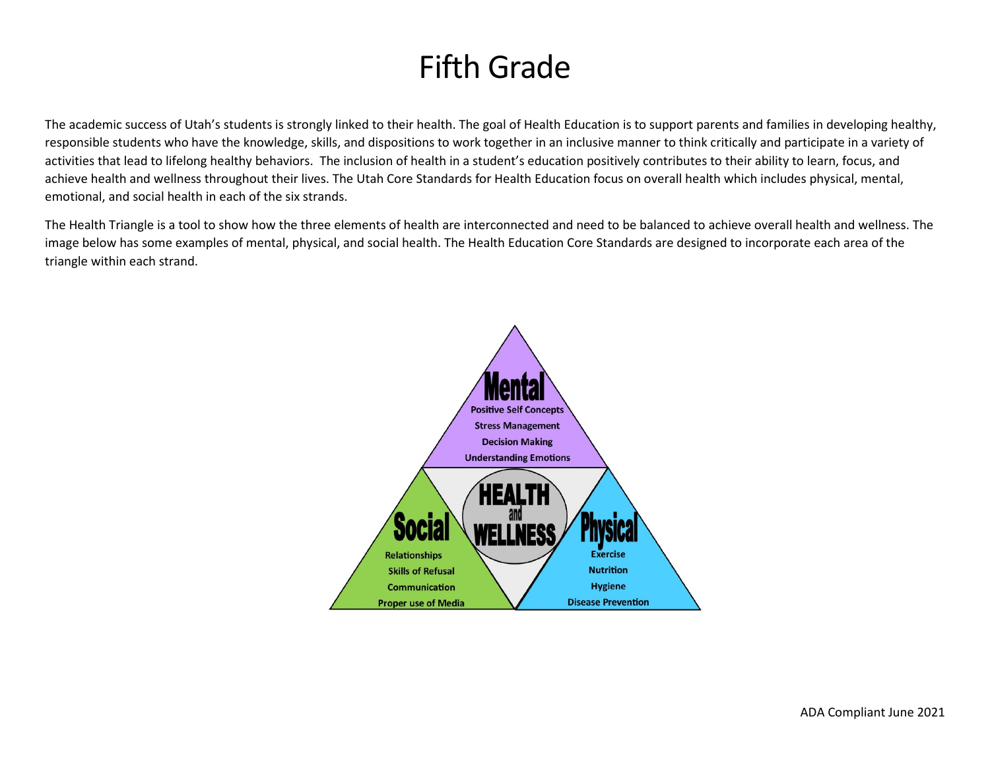# Fifth Grade

The academic success of Utah's students is strongly linked to their health. The goal of Health Education is to support parents and families in developing healthy, responsible students who have the knowledge, skills, and dispositions to work together in an inclusive manner to think critically and participate in a variety of activities that lead to lifelong healthy behaviors. The inclusion of health in a student's education positively contributes to their ability to learn, focus, and achieve health and wellness throughout their lives. The Utah Core Standards for Health Education focus on overall health which includes physical, mental, emotional, and social health in each of the six strands.

The Health Triangle is a tool to show how the three elements of health are interconnected and need to be balanced to achieve overall health and wellness. The image below has some examples of mental, physical, and social health. The Health Education Core Standards are designed to incorporate each area of the triangle within each strand.

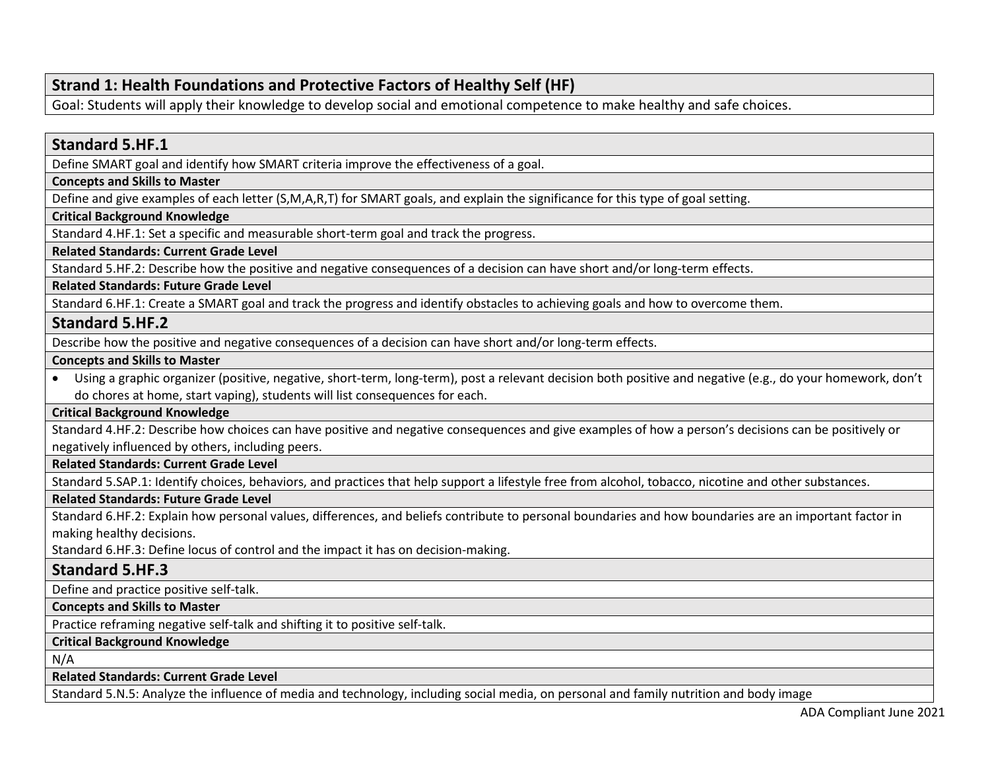# **Strand 1: Health Foundations and Protective Factors of Healthy Self (HF)**

Goal: Students will apply their knowledge to develop social and emotional competence to make healthy and safe choices.

# **Standard 5.HF.1**

Define SMART goal and identify how SMART criteria improve the effectiveness of a goal.

## **Concepts and Skills to Master**

Define and give examples of each letter (S,M,A,R,T) for SMART goals, and explain the significance for this type of goal setting.

## **Critical Background Knowledge**

Standard 4.HF.1: Set a specific and measurable short-term goal and track the progress.

## **Related Standards: Current Grade Level**

Standard 5.HF.2: Describe how the positive and negative consequences of a decision can have short and/or long-term effects.

### **Related Standards: Future Grade Level**

Standard 6.HF.1: Create a SMART goal and track the progress and identify obstacles to achieving goals and how to overcome them.

# **Standard 5.HF.2**

Describe how the positive and negative consequences of a decision can have short and/or long-term effects.

### **Concepts and Skills to Master**

• Using a graphic organizer (positive, negative, short-term, long-term), post a relevant decision both positive and negative (e.g., do your homework, don't do chores at home, start vaping), students will list consequences for each.

## **Critical Background Knowledge**

Standard 4.HF.2: Describe how choices can have positive and negative consequences and give examples of how a person's decisions can be positively or negatively influenced by others, including peers.

## **Related Standards: Current Grade Level**

Standard 5.SAP.1: Identify choices, behaviors, and practices that help support a lifestyle free from alcohol, tobacco, nicotine and other substances.

## **Related Standards: Future Grade Level**

Standard 6.HF.2: Explain how personal values, differences, and beliefs contribute to personal boundaries and how boundaries are an important factor in making healthy decisions.

Standard 6.HF.3: Define locus of control and the impact it has on decision-making.

# **Standard 5.HF.3**

Define and practice positive self-talk.

## **Concepts and Skills to Master**

Practice reframing negative self-talk and shifting it to positive self-talk.

## **Critical Background Knowledge**

N/A

## **Related Standards: Current Grade Level**

Standard 5.N.5: Analyze the influence of media and technology, including social media, on personal and family nutrition and body image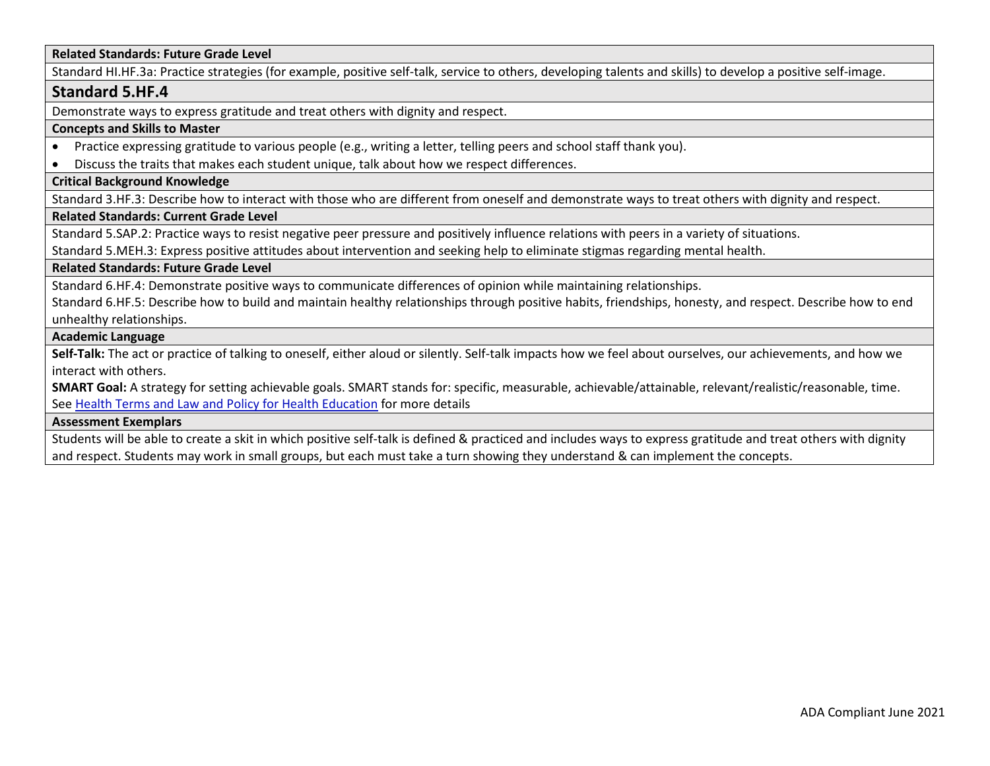#### **Related Standards: Future Grade Level**

Standard HI.HF.3a: Practice strategies (for example, positive self-talk, service to others, developing talents and skills) to develop a positive self-image.

#### **Standard 5.HF.4**

Demonstrate ways to express gratitude and treat others with dignity and respect.

#### **Concepts and Skills to Master**

- Practice expressing gratitude to various people (e.g., writing a letter, telling peers and school staff thank you).
- Discuss the traits that makes each student unique, talk about how we respect differences.

#### **Critical Background Knowledge**

Standard 3.HF.3: Describe how to interact with those who are different from oneself and demonstrate ways to treat others with dignity and respect.

#### **Related Standards: Current Grade Level**

Standard 5.SAP.2: Practice ways to resist negative peer pressure and positively influence relations with peers in a variety of situations.

Standard 5.MEH.3: Express positive attitudes about intervention and seeking help to eliminate stigmas regarding mental health.

#### **Related Standards: Future Grade Level**

Standard 6.HF.4: Demonstrate positive ways to communicate differences of opinion while maintaining relationships.

Standard 6.HF.5: Describe how to build and maintain healthy relationships through positive habits, friendships, honesty, and respect. Describe how to end unhealthy relationships.

#### **Academic Language**

**Self-Talk:** The act or practice of talking to oneself, either aloud or silently. Self-talk impacts how we feel about ourselves, our achievements, and how we interact with others.

**SMART Goal:** A strategy for setting achievable goals. SMART stands for: specific, measurable, achievable/attainable, relevant/realistic/reasonable, time. See [Health Terms and Law and Policy for Health Education](https://schools.utah.gov/file/79acf6fe-5e26-4f46-9374-116b785e9147) for more details

#### **Assessment Exemplars**

Students will be able to create a skit in which positive self-talk is defined & practiced and includes ways to express gratitude and treat others with dignity and respect. Students may work in small groups, but each must take a turn showing they understand & can implement the concepts.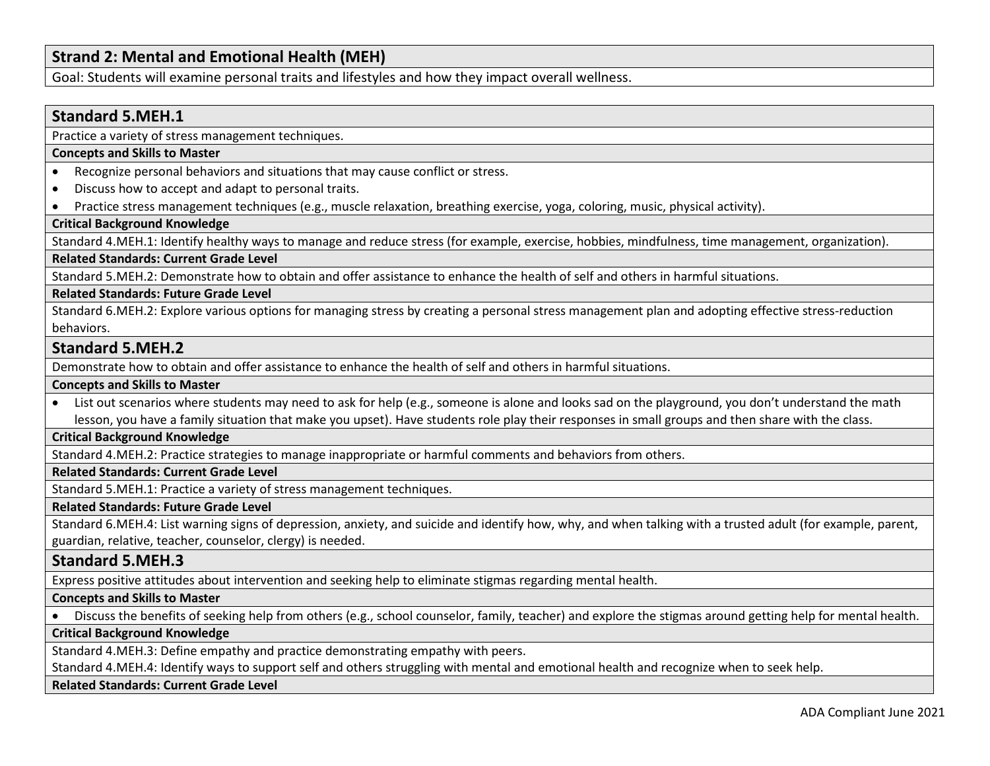# **Strand 2: Mental and Emotional Health (MEH)**

Goal: Students will examine personal traits and lifestyles and how they impact overall wellness.

# **Standard 5.MEH.1**

Practice a variety of stress management techniques.

#### **Concepts and Skills to Master**

- Recognize personal behaviors and situations that may cause conflict or stress.
- Discuss how to accept and adapt to personal traits.
- Practice stress management techniques (e.g., muscle relaxation, breathing exercise, yoga, coloring, music, physical activity).

## **Critical Background Knowledge**

Standard 4.MEH.1: Identify healthy ways to manage and reduce stress (for example, exercise, hobbies, mindfulness, time management, organization).

#### **Related Standards: Current Grade Level**

Standard 5.MEH.2: Demonstrate how to obtain and offer assistance to enhance the health of self and others in harmful situations.

#### **Related Standards: Future Grade Level**

Standard 6.MEH.2: Explore various options for managing stress by creating a personal stress management plan and adopting effective stress-reduction behaviors.

### **Standard 5.MEH.2**

Demonstrate how to obtain and offer assistance to enhance the health of self and others in harmful situations.

#### **Concepts and Skills to Master**

• List out scenarios where students may need to ask for help (e.g., someone is alone and looks sad on the playground, you don't understand the math lesson, you have a family situation that make you upset). Have students role play their responses in small groups and then share with the class.

## **Critical Background Knowledge**

Standard 4.MEH.2: Practice strategies to manage inappropriate or harmful comments and behaviors from others.

#### **Related Standards: Current Grade Level**

Standard 5.MEH.1: Practice a variety of stress management techniques.

#### **Related Standards: Future Grade Level**

Standard 6.MEH.4: List warning signs of depression, anxiety, and suicide and identify how, why, and when talking with a trusted adult (for example, parent, guardian, relative, teacher, counselor, clergy) is needed.

## **Standard 5.MEH.3**

Express positive attitudes about intervention and seeking help to eliminate stigmas regarding mental health.

## **Concepts and Skills to Master**

• Discuss the benefits of seeking help from others (e.g., school counselor, family, teacher) and explore the stigmas around getting help for mental health.

#### **Critical Background Knowledge**

Standard 4.MEH.3: Define empathy and practice demonstrating empathy with peers.

Standard 4.MEH.4: Identify ways to support self and others struggling with mental and emotional health and recognize when to seek help.

#### **Related Standards: Current Grade Level**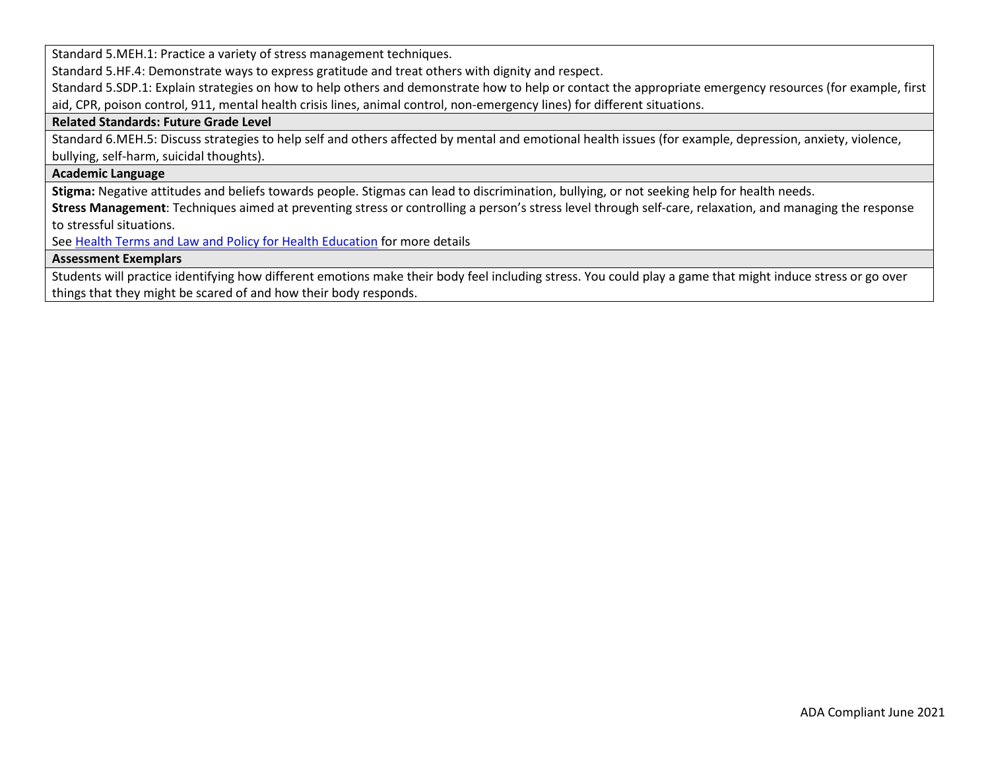Standard 5.MEH.1: Practice a variety of stress management techniques.

Standard 5.HF.4: Demonstrate ways to express gratitude and treat others with dignity and respect.

Standard 5.SDP.1: Explain strategies on how to help others and demonstrate how to help or contact the appropriate emergency resources (for example, first aid, CPR, poison control, 911, mental health crisis lines, animal control, non-emergency lines) for different situations.

#### **Related Standards: Future Grade Level**

Standard 6.MEH.5: Discuss strategies to help self and others affected by mental and emotional health issues (for example, depression, anxiety, violence, bullying, self-harm, suicidal thoughts).

## **Academic Language**

**Stigma:** Negative attitudes and beliefs towards people. Stigmas can lead to discrimination, bullying, or not seeking help for health needs.

**Stress Management**: Techniques aimed at preventing stress or controlling a person's stress level through self-care, relaxation, and managing the response to stressful situations.

See [Health Terms and Law and Policy for Health Education](https://schools.utah.gov/file/79acf6fe-5e26-4f46-9374-116b785e9147) for more details

#### **Assessment Exemplars**

Students will practice identifying how different emotions make their body feel including stress. You could play a game that might induce stress or go over things that they might be scared of and how their body responds.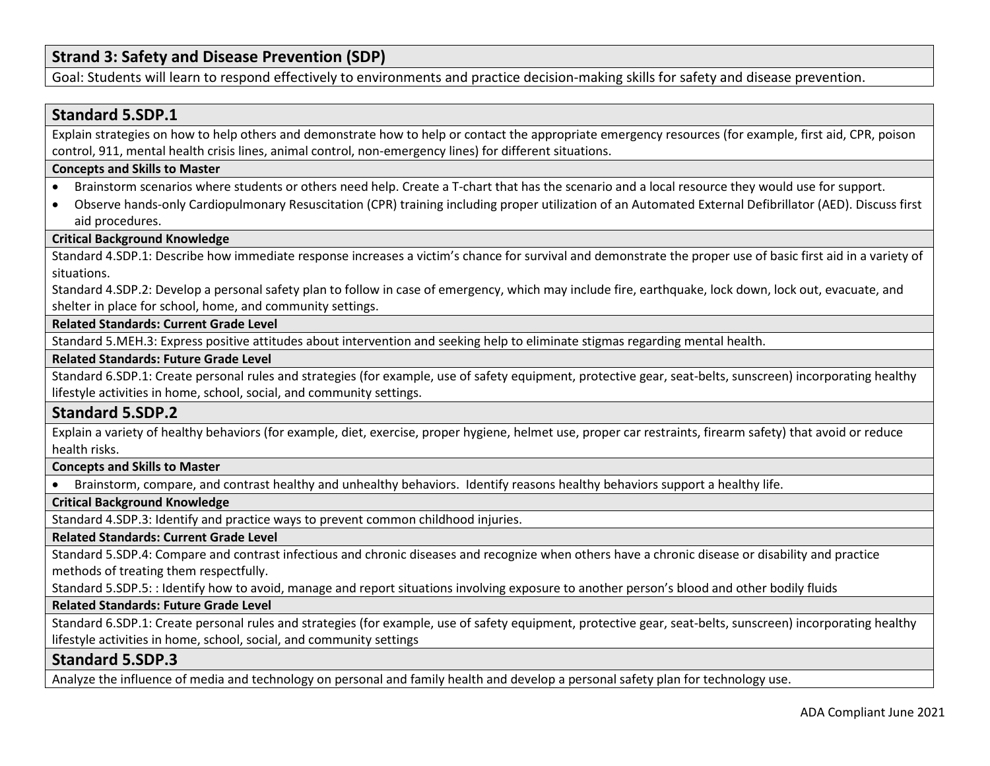# **Strand 3: Safety and Disease Prevention (SDP)**

Goal: Students will learn to respond effectively to environments and practice decision-making skills for safety and disease prevention.

## **Standard 5.SDP.1**

Explain strategies on how to help others and demonstrate how to help or contact the appropriate emergency resources (for example, first aid, CPR, poison control, 911, mental health crisis lines, animal control, non-emergency lines) for different situations.

### **Concepts and Skills to Master**

- Brainstorm scenarios where students or others need help. Create a T-chart that has the scenario and a local resource they would use for support.
- Observe hands-only Cardiopulmonary Resuscitation (CPR) training including proper utilization of an Automated External Defibrillator (AED). Discuss first aid procedures.

## **Critical Background Knowledge**

Standard 4.SDP.1: Describe how immediate response increases a victim's chance for survival and demonstrate the proper use of basic first aid in a variety of situations.

Standard 4.SDP.2: Develop a personal safety plan to follow in case of emergency, which may include fire, earthquake, lock down, lock out, evacuate, and shelter in place for school, home, and community settings.

#### **Related Standards: Current Grade Level**

Standard 5.MEH.3: Express positive attitudes about intervention and seeking help to eliminate stigmas regarding mental health.

#### **Related Standards: Future Grade Level**

Standard 6.SDP.1: Create personal rules and strategies (for example, use of safety equipment, protective gear, seat-belts, sunscreen) incorporating healthy lifestyle activities in home, school, social, and community settings.

## **Standard 5.SDP.2**

Explain a variety of healthy behaviors (for example, diet, exercise, proper hygiene, helmet use, proper car restraints, firearm safety) that avoid or reduce health risks.

## **Concepts and Skills to Master**

• Brainstorm, compare, and contrast healthy and unhealthy behaviors. Identify reasons healthy behaviors support a healthy life.

## **Critical Background Knowledge**

Standard 4.SDP.3: Identify and practice ways to prevent common childhood injuries.

#### **Related Standards: Current Grade Level**

Standard 5.SDP.4: Compare and contrast infectious and chronic diseases and recognize when others have a chronic disease or disability and practice methods of treating them respectfully.

Standard 5.SDP.5: : Identify how to avoid, manage and report situations involving exposure to another person's blood and other bodily fluids

#### **Related Standards: Future Grade Level**

Standard 6.SDP.1: Create personal rules and strategies (for example, use of safety equipment, protective gear, seat-belts, sunscreen) incorporating healthy lifestyle activities in home, school, social, and community settings

## **Standard 5.SDP.3**

Analyze the influence of media and technology on personal and family health and develop a personal safety plan for technology use.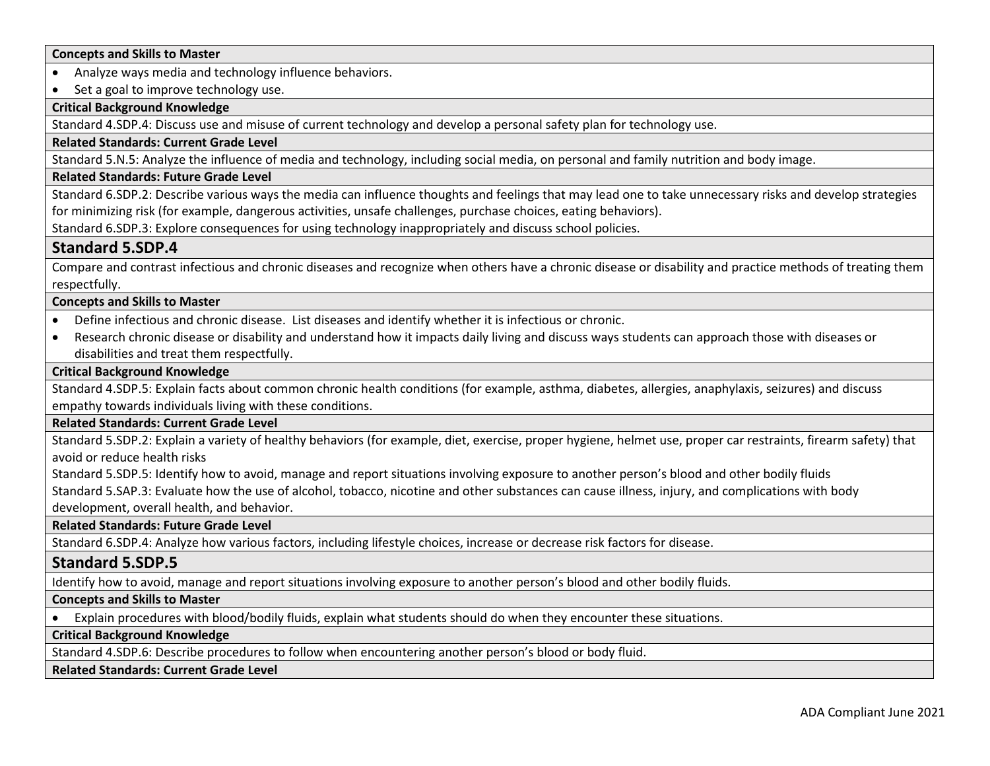#### **Concepts and Skills to Master**

• Analyze ways media and technology influence behaviors.

• Set a goal to improve technology use.

## **Critical Background Knowledge**

Standard 4.SDP.4: Discuss use and misuse of current technology and develop a personal safety plan for technology use.

#### **Related Standards: Current Grade Level**

Standard 5.N.5: Analyze the influence of media and technology, including social media, on personal and family nutrition and body image.

#### **Related Standards: Future Grade Level**

Standard 6.SDP.2: Describe various ways the media can influence thoughts and feelings that may lead one to take unnecessary risks and develop strategies for minimizing risk (for example, dangerous activities, unsafe challenges, purchase choices, eating behaviors).

Standard 6.SDP.3: Explore consequences for using technology inappropriately and discuss school policies.

## **Standard 5.SDP.4**

Compare and contrast infectious and chronic diseases and recognize when others have a chronic disease or disability and practice methods of treating them respectfully.

#### **Concepts and Skills to Master**

- Define infectious and chronic disease. List diseases and identify whether it is infectious or chronic.
- Research chronic disease or disability and understand how it impacts daily living and discuss ways students can approach those with diseases or disabilities and treat them respectfully.

#### **Critical Background Knowledge**

Standard 4.SDP.5: Explain facts about common chronic health conditions (for example, asthma, diabetes, allergies, anaphylaxis, seizures) and discuss empathy towards individuals living with these conditions.

#### **Related Standards: Current Grade Level**

Standard 5.SDP.2: Explain a variety of healthy behaviors (for example, diet, exercise, proper hygiene, helmet use, proper car restraints, firearm safety) that avoid or reduce health risks

Standard 5.SDP.5: Identify how to avoid, manage and report situations involving exposure to another person's blood and other bodily fluids

Standard 5.SAP.3: Evaluate how the use of alcohol, tobacco, nicotine and other substances can cause illness, injury, and complications with body

development, overall health, and behavior.

**Related Standards: Future Grade Level** 

Standard 6.SDP.4: Analyze how various factors, including lifestyle choices, increase or decrease risk factors for disease.

## **Standard 5.SDP.5**

Identify how to avoid, manage and report situations involving exposure to another person's blood and other bodily fluids.

### **Concepts and Skills to Master**

• Explain procedures with blood/bodily fluids, explain what students should do when they encounter these situations.

#### **Critical Background Knowledge**

Standard 4.SDP.6: Describe procedures to follow when encountering another person's blood or body fluid.

#### **Related Standards: Current Grade Level**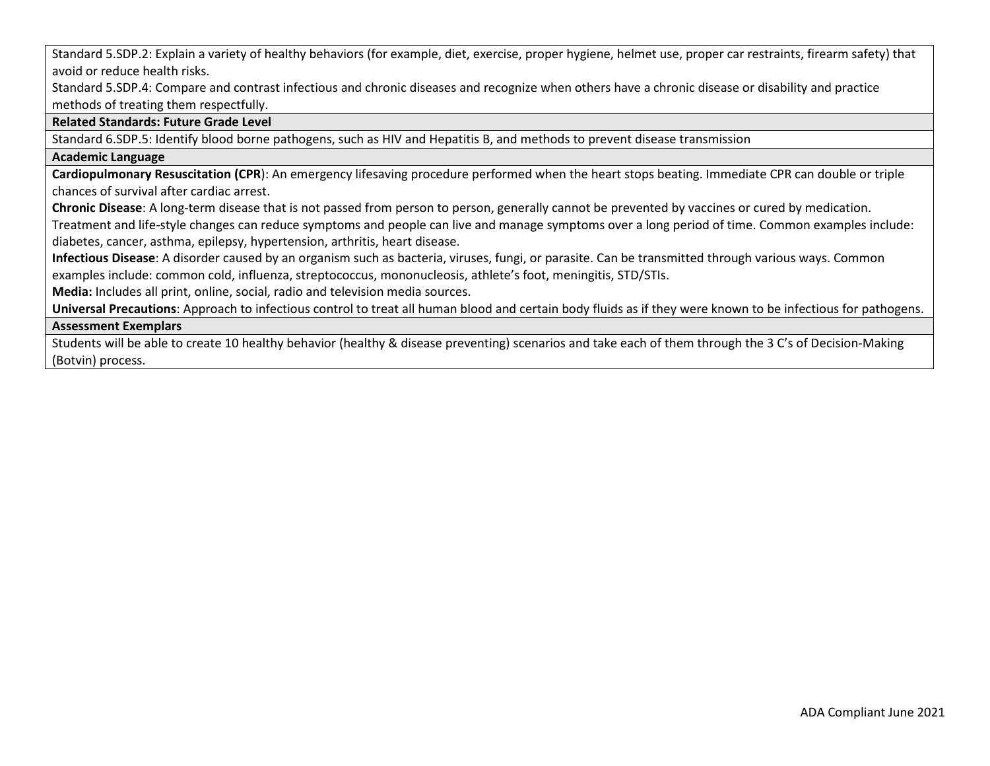Standard 5.SDP.2: Explain a variety of healthy behaviors (for example, diet, exercise, proper hygiene, helmet use, proper car restraints, firearm safety) that avoid or reduce health risks.

Standard 5.SDP.4: Compare and contrast infectious and chronic diseases and recognize when others have a chronic disease or disability and practice methods of treating them respectfully.

#### **Related Standards: Future Grade Level**

Standard 6.SDP.5: Identify blood borne pathogens, such as HIV and Hepatitis B, and methods to prevent disease transmission

#### **Academic Language**

**Cardiopulmonary Resuscitation (CPR**): An emergency lifesaving procedure performed when the heart stops beating. Immediate CPR can double or triple chances of survival after cardiac arrest.

**Chronic Disease**: A long-term disease that is not passed from person to person, generally cannot be prevented by vaccines or cured by medication.

Treatment and life-style changes can reduce symptoms and people can live and manage symptoms over a long period of time. Common examples include: diabetes, cancer, asthma, epilepsy, hypertension, arthritis, heart disease.

**Infectious Disease**: A disorder caused by an organism such as bacteria, viruses, fungi, or parasite. Can be transmitted through various ways. Common examples include: common cold, influenza, streptococcus, mononucleosis, athlete's foot, meningitis, STD/STIs.

**Media:** Includes all print, online, social, radio and television media sources.

**Universal Precautions**: Approach to infectious control to treat all human blood and certain body fluids as if they were known to be infectious for pathogens.

#### **Assessment Exemplars**

Students will be able to create 10 healthy behavior (healthy & disease preventing) scenarios and take each of them through the 3 C's of Decision-Making (Botvin) process.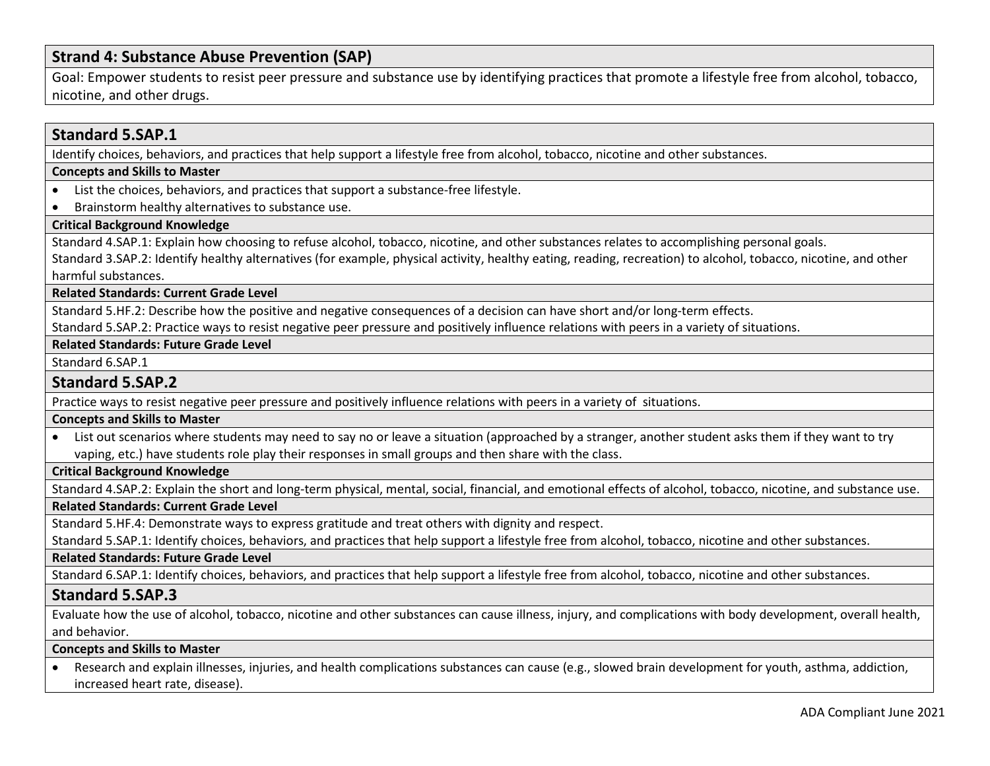# **Strand 4: Substance Abuse Prevention (SAP)**

Goal: Empower students to resist peer pressure and substance use by identifying practices that promote a lifestyle free from alcohol, tobacco, nicotine, and other drugs.

## **Standard 5.SAP.1**

Identify choices, behaviors, and practices that help support a lifestyle free from alcohol, tobacco, nicotine and other substances.

#### **Concepts and Skills to Master**

- List the choices, behaviors, and practices that support a substance-free lifestyle.
- Brainstorm healthy alternatives to substance use.

## **Critical Background Knowledge**

Standard 4.SAP.1: Explain how choosing to refuse alcohol, tobacco, nicotine, and other substances relates to accomplishing personal goals.

Standard 3.SAP.2: Identify healthy alternatives (for example, physical activity, healthy eating, reading, recreation) to alcohol, tobacco, nicotine, and other harmful substances.

**Related Standards: Current Grade Level**

Standard 5.HF.2: Describe how the positive and negative consequences of a decision can have short and/or long-term effects.

Standard 5.SAP.2: Practice ways to resist negative peer pressure and positively influence relations with peers in a variety of situations.

**Related Standards: Future Grade Level** 

Standard 6.SAP.1

### **Standard 5.SAP.2**

Practice ways to resist negative peer pressure and positively influence relations with peers in a variety of situations.

#### **Concepts and Skills to Master**

• List out scenarios where students may need to say no or leave a situation (approached by a stranger, another student asks them if they want to try vaping, etc.) have students role play their responses in small groups and then share with the class.

## **Critical Background Knowledge**

Standard 4.SAP.2: Explain the short and long-term physical, mental, social, financial, and emotional effects of alcohol, tobacco, nicotine, and substance use.

#### **Related Standards: Current Grade Level**

Standard 5.HF.4: Demonstrate ways to express gratitude and treat others with dignity and respect.

Standard 5.SAP.1: Identify choices, behaviors, and practices that help support a lifestyle free from alcohol, tobacco, nicotine and other substances.

#### **Related Standards: Future Grade Level**

Standard 6.SAP.1: Identify choices, behaviors, and practices that help support a lifestyle free from alcohol, tobacco, nicotine and other substances.

## **Standard 5.SAP.3**

Evaluate how the use of alcohol, tobacco, nicotine and other substances can cause illness, injury, and complications with body development, overall health, and behavior.

#### **Concepts and Skills to Master**

• Research and explain illnesses, injuries, and health complications substances can cause (e.g., slowed brain development for youth, asthma, addiction, increased heart rate, disease).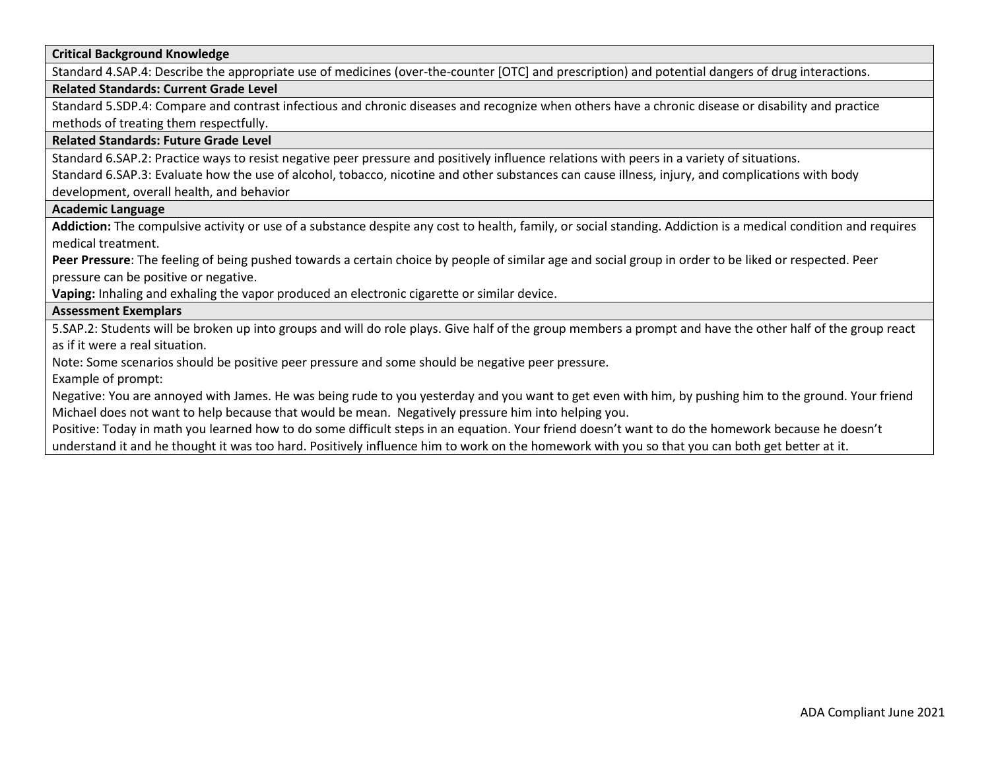**Critical Background Knowledge**

Standard 4.SAP.4: Describe the appropriate use of medicines (over-the-counter [OTC] and prescription) and potential dangers of drug interactions.

#### **Related Standards: Current Grade Level**

Standard 5.SDP.4: Compare and contrast infectious and chronic diseases and recognize when others have a chronic disease or disability and practice methods of treating them respectfully.

#### **Related Standards: Future Grade Level**

Standard 6.SAP.2: Practice ways to resist negative peer pressure and positively influence relations with peers in a variety of situations.

Standard 6.SAP.3: Evaluate how the use of alcohol, tobacco, nicotine and other substances can cause illness, injury, and complications with body development, overall health, and behavior

#### **Academic Language**

**Addiction:** The compulsive activity or use of a substance despite any cost to health, family, or social standing. Addiction is a medical condition and requires medical treatment.

**Peer Pressure**: The feeling of being pushed towards a certain choice by people of similar age and social group in order to be liked or respected. Peer pressure can be positive or negative.

**Vaping:** Inhaling and exhaling the vapor produced an electronic cigarette or similar device.

#### **Assessment Exemplars**

5.SAP.2: Students will be broken up into groups and will do role plays. Give half of the group members a prompt and have the other half of the group react as if it were a real situation.

Note: Some scenarios should be positive peer pressure and some should be negative peer pressure.

Example of prompt:

Negative: You are annoyed with James. He was being rude to you yesterday and you want to get even with him, by pushing him to the ground. Your friend Michael does not want to help because that would be mean. Negatively pressure him into helping you.

Positive: Today in math you learned how to do some difficult steps in an equation. Your friend doesn't want to do the homework because he doesn't understand it and he thought it was too hard. Positively influence him to work on the homework with you so that you can both get better at it.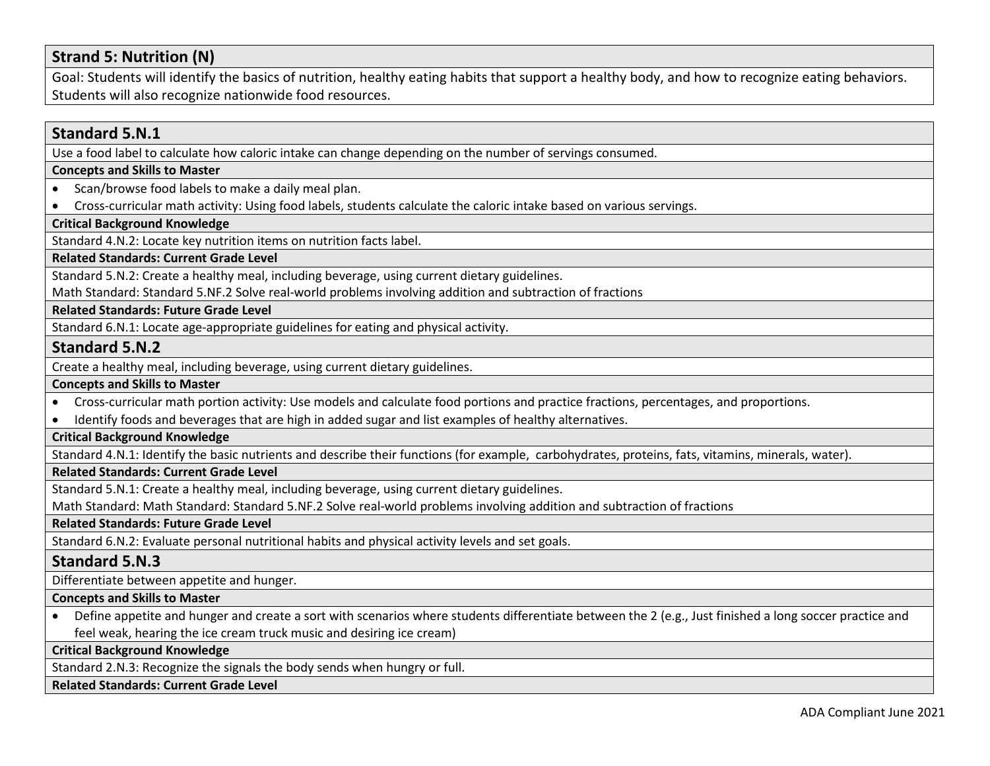# **Strand 5: Nutrition (N)**

Goal: Students will identify the basics of nutrition, healthy eating habits that support a healthy body, and how to recognize eating behaviors. Students will also recognize nationwide food resources.

# **Standard 5.N.1** Use a food label to calculate how caloric intake can change depending on the number of servings consumed. **Concepts and Skills to Master**  • Scan/browse food labels to make a daily meal plan. • Cross-curricular math activity: Using food labels, students calculate the caloric intake based on various servings. **Critical Background Knowledge** Standard 4.N.2: Locate key nutrition items on nutrition facts label. **Related Standards: Current Grade Level** Standard 5.N.2: Create a healthy meal, including beverage, using current dietary guidelines. Math Standard: Standard 5.NF.2 Solve real-world problems involving addition and subtraction of fractions **Related Standards: Future Grade Level**  Standard 6.N.1: Locate age-appropriate guidelines for eating and physical activity. **Standard 5.N.2** Create a healthy meal, including beverage, using current dietary guidelines. **Concepts and Skills to Master**  • Cross-curricular math portion activity: Use models and calculate food portions and practice fractions, percentages, and proportions. • Identify foods and beverages that are high in added sugar and list examples of healthy alternatives. **Critical Background Knowledge** Standard 4.N.1: Identify the basic nutrients and describe their functions (for example, carbohydrates, proteins, fats, vitamins, minerals, water). **Related Standards: Current Grade Level** Standard 5.N.1: Create a healthy meal, including beverage, using current dietary guidelines. Math Standard: Math Standard: Standard 5.NF.2 Solve real-world problems involving addition and subtraction of fractions **Related Standards: Future Grade Level**  Standard 6.N.2: Evaluate personal nutritional habits and physical activity levels and set goals. **Standard 5.N.3** Differentiate between appetite and hunger. **Concepts and Skills to Master**  • Define appetite and hunger and create a sort with scenarios where students differentiate between the 2 (e.g., Just finished a long soccer practice and feel weak, hearing the ice cream truck music and desiring ice cream) **Critical Background Knowledge** Standard 2.N.3: Recognize the signals the body sends when hungry or full. **Related Standards: Current Grade Level**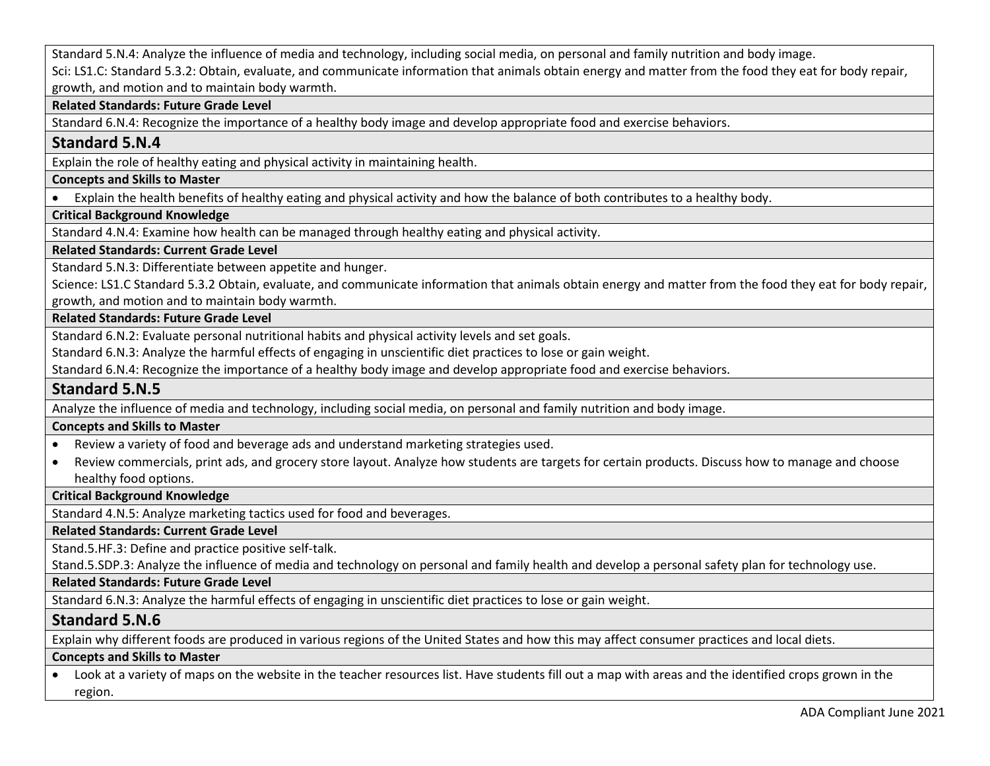Standard 5.N.4: Analyze the influence of media and technology, including social media, on personal and family nutrition and body image. Sci: LS1.C: Standard 5.3.2: Obtain, evaluate, and communicate information that animals obtain energy and matter from the food they eat for body repair, growth, and motion and to maintain body warmth.

## **Related Standards: Future Grade Level**

Standard 6.N.4: Recognize the importance of a healthy body image and develop appropriate food and exercise behaviors.

## **Standard 5.N.4**

Explain the role of healthy eating and physical activity in maintaining health.

## **Concepts and Skills to Master**

• Explain the health benefits of healthy eating and physical activity and how the balance of both contributes to a healthy body.

## **Critical Background Knowledge**

Standard 4.N.4: Examine how health can be managed through healthy eating and physical activity.

## **Related Standards: Current Grade Level**

Standard 5.N.3: Differentiate between appetite and hunger.

Science: LS1.C Standard 5.3.2 Obtain, evaluate, and communicate information that animals obtain energy and matter from the food they eat for body repair, growth, and motion and to maintain body warmth.

### **Related Standards: Future Grade Level**

Standard 6.N.2: Evaluate personal nutritional habits and physical activity levels and set goals.

Standard 6.N.3: Analyze the harmful effects of engaging in unscientific diet practices to lose or gain weight.

Standard 6.N.4: Recognize the importance of a healthy body image and develop appropriate food and exercise behaviors.

## **Standard 5.N.5**

Analyze the influence of media and technology, including social media, on personal and family nutrition and body image.

## **Concepts and Skills to Master**

- Review a variety of food and beverage ads and understand marketing strategies used.
- Review commercials, print ads, and grocery store layout. Analyze how students are targets for certain products. Discuss how to manage and choose healthy food options.

## **Critical Background Knowledge**

Standard 4.N.5: Analyze marketing tactics used for food and beverages.

**Related Standards: Current Grade Level**

Stand.5.HF.3: Define and practice positive self-talk.

Stand.5.SDP.3: Analyze the influence of media and technology on personal and family health and develop a personal safety plan for technology use.

## **Related Standards: Future Grade Level**

Standard 6.N.3: Analyze the harmful effects of engaging in unscientific diet practices to lose or gain weight.

## **Standard 5.N.6**

Explain why different foods are produced in various regions of the United States and how this may affect consumer practices and local diets.

## **Concepts and Skills to Master**

• Look at a variety of maps on the website in the teacher resources list. Have students fill out a map with areas and the identified crops grown in the region.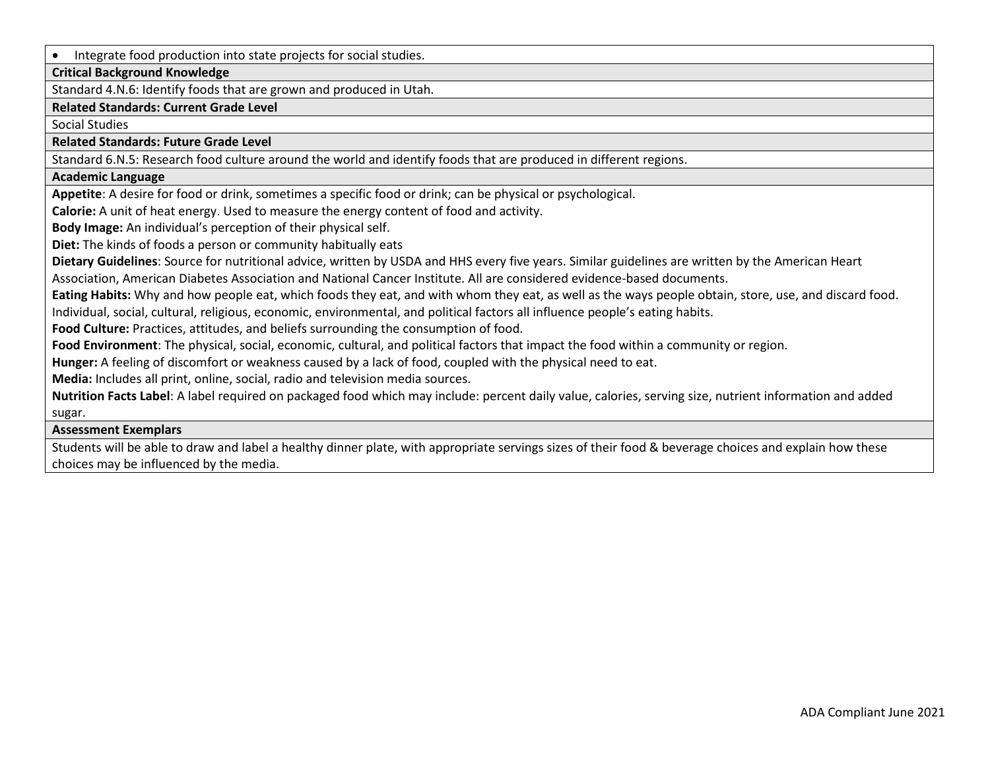• Integrate food production into state projects for social studies.

## **Critical Background Knowledge**

Standard 4.N.6: Identify foods that are grown and produced in Utah.

#### **Related Standards: Current Grade Level**

Social Studies

**Related Standards: Future Grade Level** 

Standard 6.N.5: Research food culture around the world and identify foods that are produced in different regions.

#### **Academic Language**

**Appetite**: A desire for food or drink, sometimes a specific food or drink; can be physical or psychological.

**Calorie:** A unit of heat energy. Used to measure the energy content of food and activity.

**Body Image:** An individual's perception of their physical self.

**Diet:** The kinds of foods a person or community habitually eats

**Dietary Guidelines**: Source for nutritional advice, written by USDA and HHS every five years. Similar guidelines are written by the American Heart Association, American Diabetes Association and National Cancer Institute. All are considered evidence-based documents.

**Eating Habits:** Why and how people eat, which foods they eat, and with whom they eat, as well as the ways people obtain, store, use, and discard food.

Individual, social, cultural, religious, economic, environmental, and political factors all influence people's eating habits.

**Food Culture:** Practices, attitudes, and beliefs surrounding the consumption of food.

**Food Environment**: The physical, social, economic, cultural, and political factors that impact the food within a community or region.

**Hunger:** A feeling of discomfort or weakness caused by a lack of food, coupled with the physical need to eat.

**Media:** Includes all print, online, social, radio and television media sources.

**Nutrition Facts Label**: A label required on packaged food which may include: percent daily value, calories, serving size, nutrient information and added sugar.

#### **Assessment Exemplars**

Students will be able to draw and label a healthy dinner plate, with appropriate servings sizes of their food & beverage choices and explain how these choices may be influenced by the media.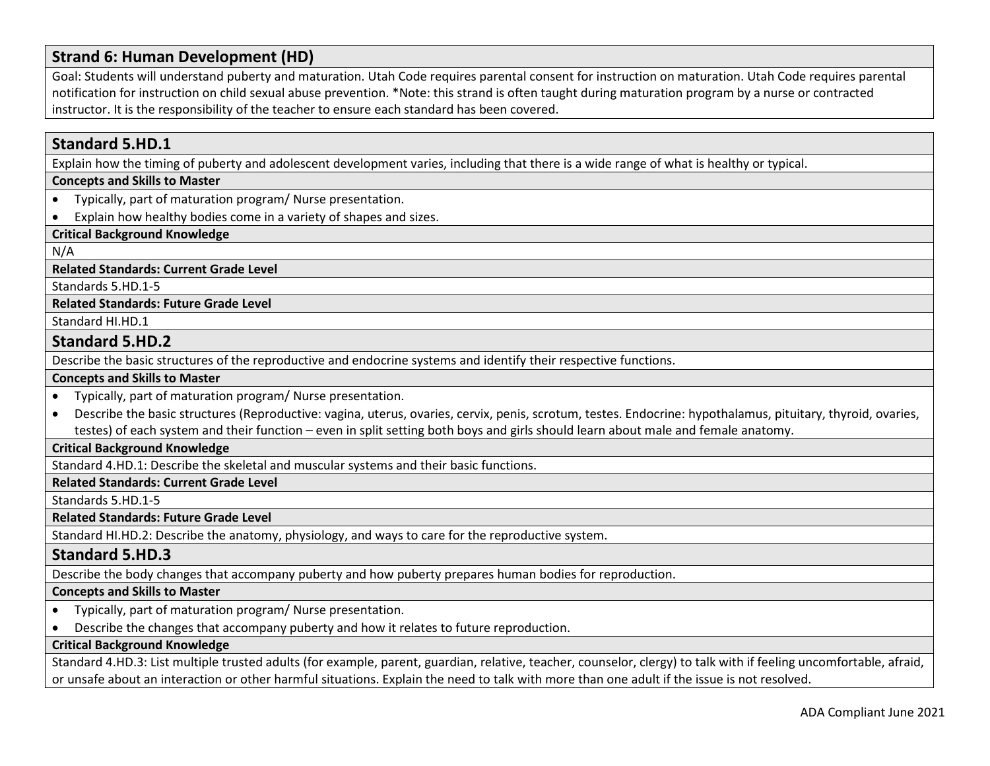# **Strand 6: Human Development (HD)**

Goal: Students will understand puberty and maturation. Utah Code requires parental consent for instruction on maturation. Utah Code requires parental notification for instruction on child sexual abuse prevention. \*Note: this strand is often taught during maturation program by a nurse or contracted instructor. It is the responsibility of the teacher to ensure each standard has been covered.

## **Standard 5.HD.1**

Explain how the timing of puberty and adolescent development varies, including that there is a wide range of what is healthy or typical.

## **Concepts and Skills to Master**

- Typically, part of maturation program/ Nurse presentation.
- Explain how healthy bodies come in a variety of shapes and sizes.

#### **Critical Background Knowledge**

N/A

**Related Standards: Current Grade Level**

Standards 5.HD.1-5

#### **Related Standards: Future Grade Level**

Standard HI.HD.1

### **Standard 5.HD.2**

Describe the basic structures of the reproductive and endocrine systems and identify their respective functions.

#### **Concepts and Skills to Master**

- Typically, part of maturation program/ Nurse presentation.
- Describe the basic structures (Reproductive: vagina, uterus, ovaries, cervix, penis, scrotum, testes. Endocrine: hypothalamus, pituitary, thyroid, ovaries, testes) of each system and their function – even in split setting both boys and girls should learn about male and female anatomy.

#### **Critical Background Knowledge**

Standard 4.HD.1: Describe the skeletal and muscular systems and their basic functions.

**Related Standards: Current Grade Level**

Standards 5.HD.1-5

**Related Standards: Future Grade Level** 

Standard HI.HD.2: Describe the anatomy, physiology, and ways to care for the reproductive system.

## **Standard 5.HD.3**

Describe the body changes that accompany puberty and how puberty prepares human bodies for reproduction.

#### **Concepts and Skills to Master**

- Typically, part of maturation program/ Nurse presentation.
- Describe the changes that accompany puberty and how it relates to future reproduction.

## **Critical Background Knowledge**

Standard 4.HD.3: List multiple trusted adults (for example, parent, guardian, relative, teacher, counselor, clergy) to talk with if feeling uncomfortable, afraid, or unsafe about an interaction or other harmful situations. Explain the need to talk with more than one adult if the issue is not resolved.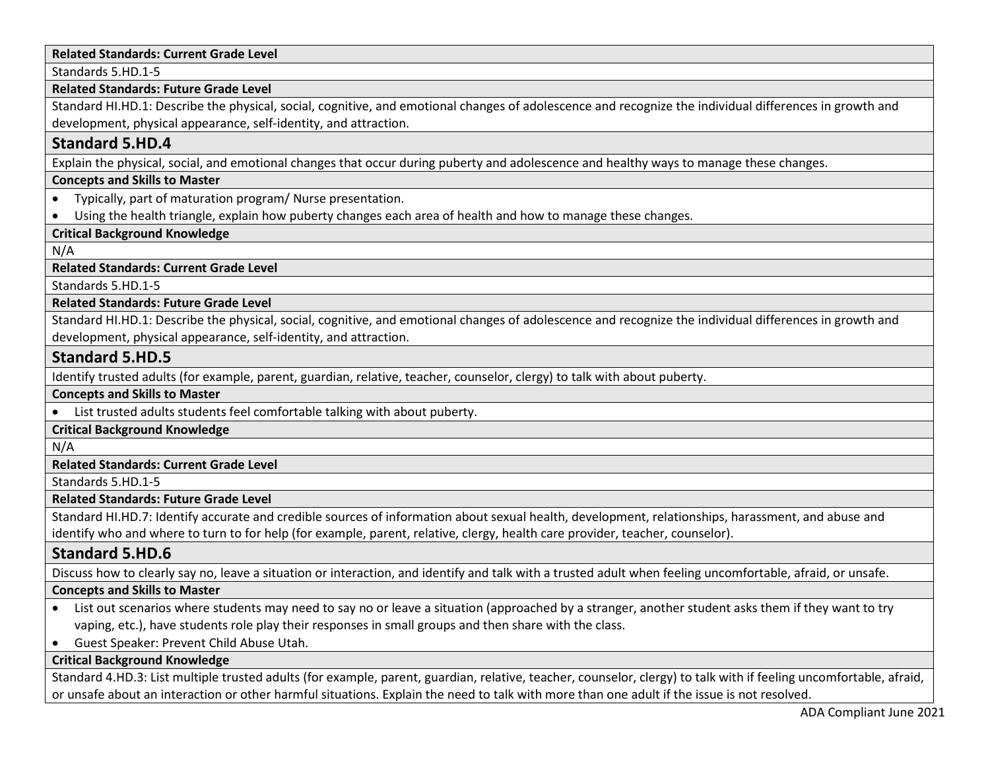### **Related Standards: Current Grade Level**

Standards 5.HD.1-5

#### **Related Standards: Future Grade Level**

Standard HI.HD.1: Describe the physical, social, cognitive, and emotional changes of adolescence and recognize the individual differences in growth and development, physical appearance, self-identity, and attraction.

## **Standard 5.HD.4**

Explain the physical, social, and emotional changes that occur during puberty and adolescence and healthy ways to manage these changes.

#### **Concepts and Skills to Master**

- Typically, part of maturation program/ Nurse presentation.
- Using the health triangle, explain how puberty changes each area of health and how to manage these changes.

## **Critical Background Knowledge**

N/A

### **Related Standards: Current Grade Level**

Standards 5.HD.1-5

### **Related Standards: Future Grade Level**

Standard HI.HD.1: Describe the physical, social, cognitive, and emotional changes of adolescence and recognize the individual differences in growth and development, physical appearance, self-identity, and attraction.

## **Standard 5.HD.5**

Identify trusted adults (for example, parent, guardian, relative, teacher, counselor, clergy) to talk with about puberty.

**Concepts and Skills to Master** 

• List trusted adults students feel comfortable talking with about puberty.

## **Critical Background Knowledge**

N/A

## **Related Standards: Current Grade Level**

Standards 5.HD.1-5

#### **Related Standards: Future Grade Level**

Standard HI.HD.7: Identify accurate and credible sources of information about sexual health, development, relationships, harassment, and abuse and identify who and where to turn to for help (for example, parent, relative, clergy, health care provider, teacher, counselor).

## **Standard 5.HD.6**

Discuss how to clearly say no, leave a situation or interaction, and identify and talk with a trusted adult when feeling uncomfortable, afraid, or unsafe.

#### **Concepts and Skills to Master**

- List out scenarios where students may need to say no or leave a situation (approached by a stranger, another student asks them if they want to try vaping, etc.), have students role play their responses in small groups and then share with the class.
- Guest Speaker: Prevent Child Abuse Utah.

## **Critical Background Knowledge**

Standard 4.HD.3: List multiple trusted adults (for example, parent, guardian, relative, teacher, counselor, clergy) to talk with if feeling uncomfortable, afraid, or unsafe about an interaction or other harmful situations. Explain the need to talk with more than one adult if the issue is not resolved.